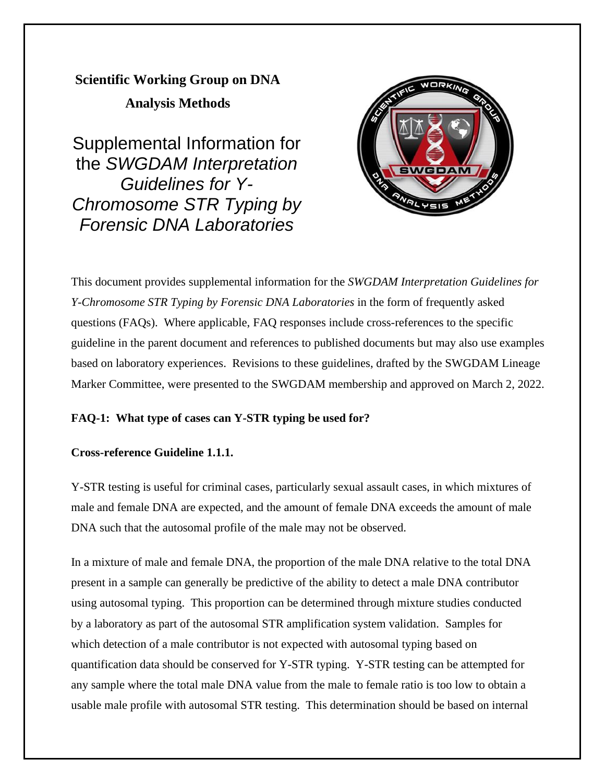**Scientific Working Group on DNA** 

**Analysis Methods**

Supplemental Information for the *SWGDAM Interpretation Guidelines for Y-Chromosome STR Typing by Forensic DNA Laboratories*



This document provides supplemental information for the *SWGDAM Interpretation Guidelines for Y-Chromosome STR Typing by Forensic DNA Laboratories* in the form of frequently asked questions (FAQs). Where applicable, FAQ responses include cross-references to the specific guideline in the parent document and references to published documents but may also use examples based on laboratory experiences. Revisions to these guidelines, drafted by the SWGDAM Lineage Marker Committee, were presented to the SWGDAM membership and approved on March 2, 2022.

# **FAQ-1: What type of cases can Y-STR typing be used for?**

# **Cross-reference Guideline 1.1.1.**

Y-STR testing is useful for criminal cases, particularly sexual assault cases, in which mixtures of male and female DNA are expected, and the amount of female DNA exceeds the amount of male DNA such that the autosomal profile of the male may not be observed.

In a mixture of male and female DNA, the proportion of the male DNA relative to the total DNA present in a sample can generally be predictive of the ability to detect a male DNA contributor using autosomal typing. This proportion can be determined through mixture studies conducted by a laboratory as part of the autosomal STR amplification system validation. Samples for which detection of a male contributor is not expected with autosomal typing based on quantification data should be conserved for Y-STR typing. Y-STR testing can be attempted for any sample where the total male DNA value from the male to female ratio is too low to obtain a usable male profile with autosomal STR testing. This determination should be based on internal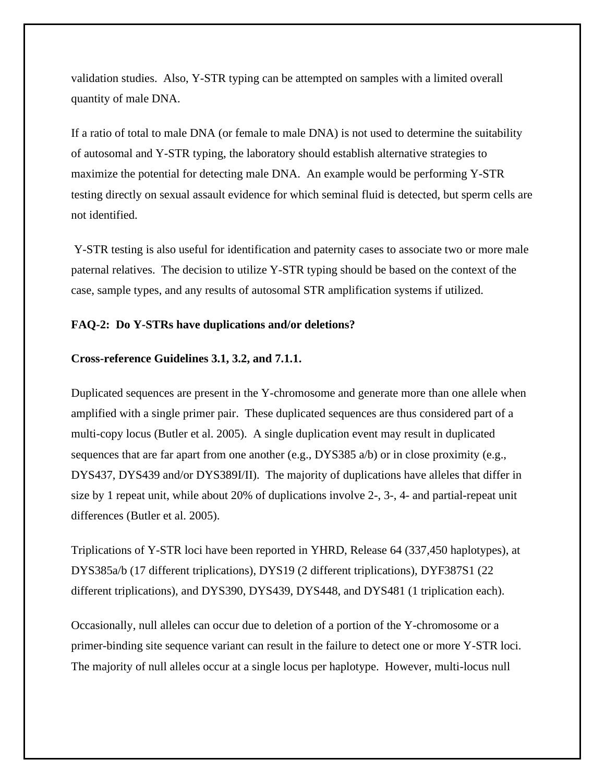validation studies. Also, Y-STR typing can be attempted on samples with a limited overall quantity of male DNA.

If a ratio of total to male DNA (or female to male DNA) is not used to determine the suitability of autosomal and Y-STR typing, the laboratory should establish alternative strategies to maximize the potential for detecting male DNA. An example would be performing Y-STR testing directly on sexual assault evidence for which seminal fluid is detected, but sperm cells are not identified.

Y-STR testing is also useful for identification and paternity cases to associate two or more male paternal relatives. The decision to utilize Y-STR typing should be based on the context of the case, sample types, and any results of autosomal STR amplification systems if utilized.

## **FAQ-2: Do Y-STRs have duplications and/or deletions?**

## **Cross-reference Guidelines 3.1, 3.2, and 7.1.1.**

Duplicated sequences are present in the Y-chromosome and generate more than one allele when amplified with a single primer pair. These duplicated sequences are thus considered part of a multi-copy locus (Butler et al. 2005). A single duplication event may result in duplicated sequences that are far apart from one another (e.g.,  $DYSS385$  a/b) or in close proximity (e.g., DYS437, DYS439 and/or DYS389I/II). The majority of duplications have alleles that differ in size by 1 repeat unit, while about 20% of duplications involve 2-, 3-, 4- and partial-repeat unit differences (Butler et al. 2005).

Triplications of Y-STR loci have been reported in YHRD, Release 64 (337,450 haplotypes), at DYS385a/b (17 different triplications), DYS19 (2 different triplications), DYF387S1 (22 different triplications), and DYS390, DYS439, DYS448, and DYS481 (1 triplication each).

Occasionally, null alleles can occur due to deletion of a portion of the Y-chromosome or a primer-binding site sequence variant can result in the failure to detect one or more Y-STR loci. The majority of null alleles occur at a single locus per haplotype. However, multi-locus null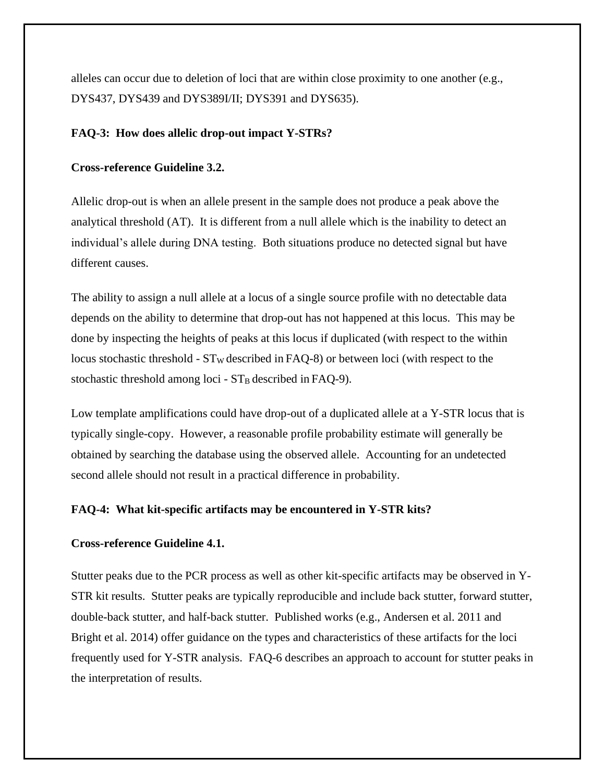alleles can occur due to deletion of loci that are within close proximity to one another (e.g., DYS437, DYS439 and DYS389I/II; DYS391 and DYS635).

## **FAQ-3: How does allelic drop-out impact Y-STRs?**

## **Cross-reference Guideline 3.2.**

Allelic drop-out is when an allele present in the sample does not produce a peak above the analytical threshold (AT). It is different from a null allele which is the inability to detect an individual's allele during DNA testing. Both situations produce no detected signal but have different causes.

The ability to assign a null allele at a locus of a single source profile with no detectable data depends on the ability to determine that drop-out has not happened at this locus. This may be done by inspecting the heights of peaks at this locus if duplicated (with respect to the within locus stochastic threshold -  $ST_W$  described in FAQ-8) or between loci (with respect to the stochastic threshold among loci -  $ST_B$  described in FAQ-9).

Low template amplifications could have drop-out of a duplicated allele at a Y-STR locus that is typically single-copy. However, a reasonable profile probability estimate will generally be obtained by searching the database using the observed allele. Accounting for an undetected second allele should not result in a practical difference in probability.

## **FAQ-4: What kit-specific artifacts may be encountered in Y-STR kits?**

#### **Cross-reference Guideline 4.1.**

Stutter peaks due to the PCR process as well as other kit-specific artifacts may be observed in Y-STR kit results. Stutter peaks are typically reproducible and include back stutter, forward stutter, double-back stutter, and half-back stutter. Published works (e.g., Andersen et al. 2011 and Bright et al. 2014) offer guidance on the types and characteristics of these artifacts for the loci frequently used for Y-STR analysis. FAQ-6 describes an approach to account for stutter peaks in the interpretation of results.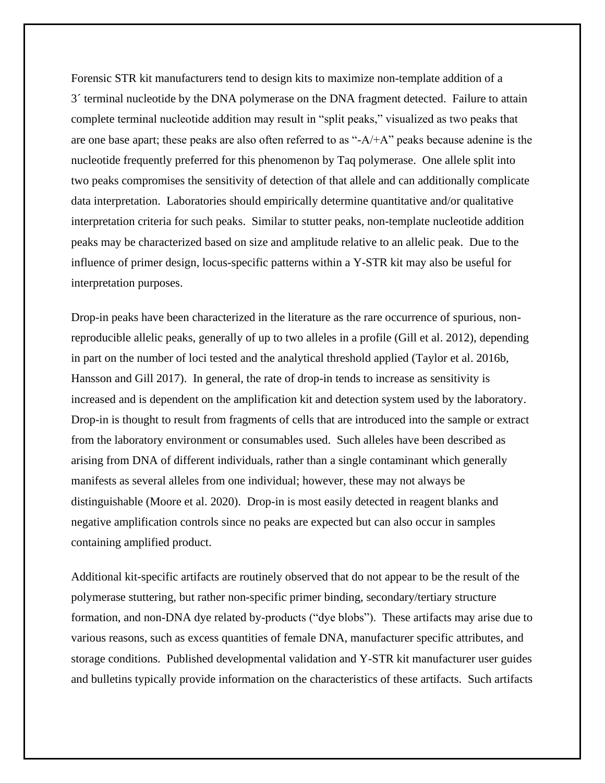Forensic STR kit manufacturers tend to design kits to maximize non-template addition of a 3´ terminal nucleotide by the DNA polymerase on the DNA fragment detected. Failure to attain complete terminal nucleotide addition may result in "split peaks," visualized as two peaks that are one base apart; these peaks are also often referred to as "-A/+A" peaks because adenine is the nucleotide frequently preferred for this phenomenon by Taq polymerase. One allele split into two peaks compromises the sensitivity of detection of that allele and can additionally complicate data interpretation. Laboratories should empirically determine quantitative and/or qualitative interpretation criteria for such peaks. Similar to stutter peaks, non-template nucleotide addition peaks may be characterized based on size and amplitude relative to an allelic peak. Due to the influence of primer design, locus-specific patterns within a Y-STR kit may also be useful for interpretation purposes.

Drop-in peaks have been characterized in the literature as the rare occurrence of spurious, nonreproducible allelic peaks, generally of up to two alleles in a profile (Gill et al. 2012), depending in part on the number of loci tested and the analytical threshold applied (Taylor et al. 2016b, Hansson and Gill 2017). In general, the rate of drop-in tends to increase as sensitivity is increased and is dependent on the amplification kit and detection system used by the laboratory. Drop-in is thought to result from fragments of cells that are introduced into the sample or extract from the laboratory environment or consumables used. Such alleles have been described as arising from DNA of different individuals, rather than a single contaminant which generally manifests as several alleles from one individual; however, these may not always be distinguishable (Moore et al. 2020). Drop-in is most easily detected in reagent blanks and negative amplification controls since no peaks are expected but can also occur in samples containing amplified product.

Additional kit-specific artifacts are routinely observed that do not appear to be the result of the polymerase stuttering, but rather non-specific primer binding, secondary/tertiary structure formation, and non-DNA dye related by-products ("dye blobs"). These artifacts may arise due to various reasons, such as excess quantities of female DNA, manufacturer specific attributes, and storage conditions. Published developmental validation and Y-STR kit manufacturer user guides and bulletins typically provide information on the characteristics of these artifacts. Such artifacts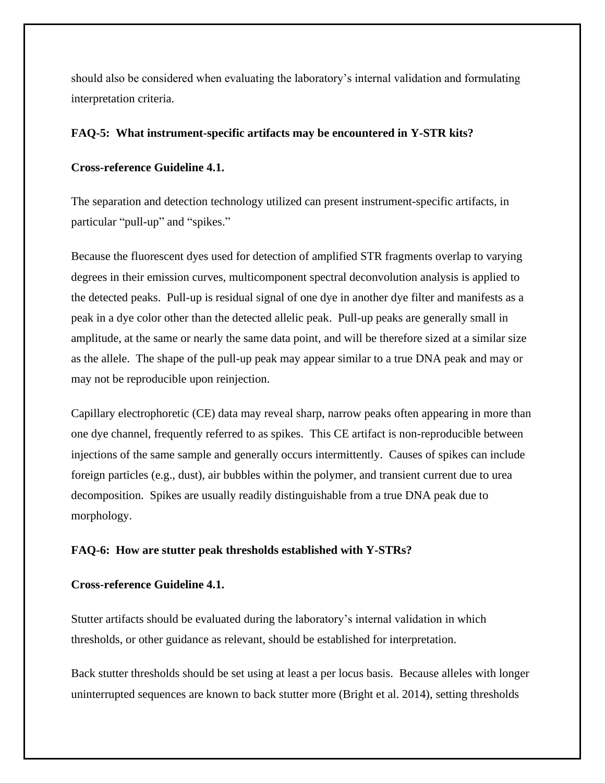should also be considered when evaluating the laboratory's internal validation and formulating interpretation criteria.

## **FAQ-5: What instrument-specific artifacts may be encountered in Y-STR kits?**

## **Cross-reference Guideline 4.1.**

The separation and detection technology utilized can present instrument-specific artifacts, in particular "pull-up" and "spikes."

Because the fluorescent dyes used for detection of amplified STR fragments overlap to varying degrees in their emission curves, multicomponent spectral deconvolution analysis is applied to the detected peaks. Pull-up is residual signal of one dye in another dye filter and manifests as a peak in a dye color other than the detected allelic peak. Pull-up peaks are generally small in amplitude, at the same or nearly the same data point, and will be therefore sized at a similar size as the allele. The shape of the pull-up peak may appear similar to a true DNA peak and may or may not be reproducible upon reinjection.

Capillary electrophoretic (CE) data may reveal sharp, narrow peaks often appearing in more than one dye channel, frequently referred to as spikes. This CE artifact is non-reproducible between injections of the same sample and generally occurs intermittently. Causes of spikes can include foreign particles (e.g., dust), air bubbles within the polymer, and transient current due to urea decomposition. Spikes are usually readily distinguishable from a true DNA peak due to morphology.

## **FAQ-6: How are stutter peak thresholds established with Y-STRs?**

## **Cross-reference Guideline 4.1.**

Stutter artifacts should be evaluated during the laboratory's internal validation in which thresholds, or other guidance as relevant, should be established for interpretation.

Back stutter thresholds should be set using at least a per locus basis. Because alleles with longer uninterrupted sequences are known to back stutter more (Bright et al. 2014), setting thresholds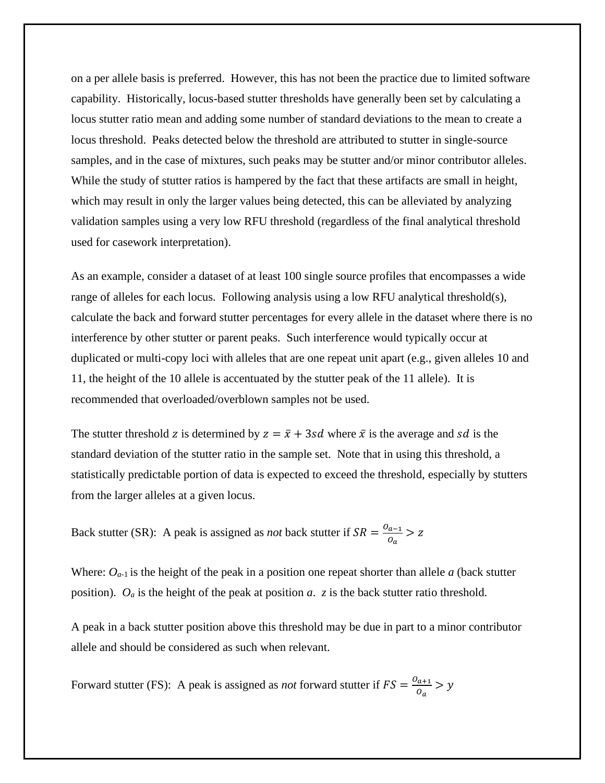on a per allele basis is preferred. However, this has not been the practice due to limited software capability. Historically, locus-based stutter thresholds have generally been set by calculating a locus stutter ratio mean and adding some number of standard deviations to the mean to create a locus threshold. Peaks detected below the threshold are attributed to stutter in single-source samples, and in the case of mixtures, such peaks may be stutter and/or minor contributor alleles. While the study of stutter ratios is hampered by the fact that these artifacts are small in height, which may result in only the larger values being detected, this can be alleviated by analyzing validation samples using a very low RFU threshold (regardless of the final analytical threshold used for casework interpretation).

As an example, consider a dataset of at least 100 single source profiles that encompasses a wide range of alleles for each locus. Following analysis using a low RFU analytical threshold(s), calculate the back and forward stutter percentages for every allele in the dataset where there is no interference by other stutter or parent peaks. Such interference would typically occur at duplicated or multi-copy loci with alleles that are one repeat unit apart (e.g., given alleles 10 and 11, the height of the 10 allele is accentuated by the stutter peak of the 11 allele). It is recommended that overloaded/overblown samples not be used.

The stutter threshold z is determined by  $z = \bar{x} + 3sd$  where  $\bar{x}$  is the average and sd is the standard deviation of the stutter ratio in the sample set. Note that in using this threshold, a statistically predictable portion of data is expected to exceed the threshold, especially by stutters from the larger alleles at a given locus.

Back stutter (SR): A peak is assigned as *not* back stutter if  $SR = \frac{O_{a-1}}{Q}$  $\frac{a-1}{a}$  > z

Where: *Oa*-1 is the height of the peak in a position one repeat shorter than allele *a* (back stutter position). *O<sup>a</sup>* is the height of the peak at position *a*. *z* is the back stutter ratio threshold.

A peak in a back stutter position above this threshold may be due in part to a minor contributor allele and should be considered as such when relevant.

Forward stutter (FS): A peak is assigned as *not* forward stutter if  $FS = \frac{0_{a+1}}{2}$  $rac{a+1}{a}$  > y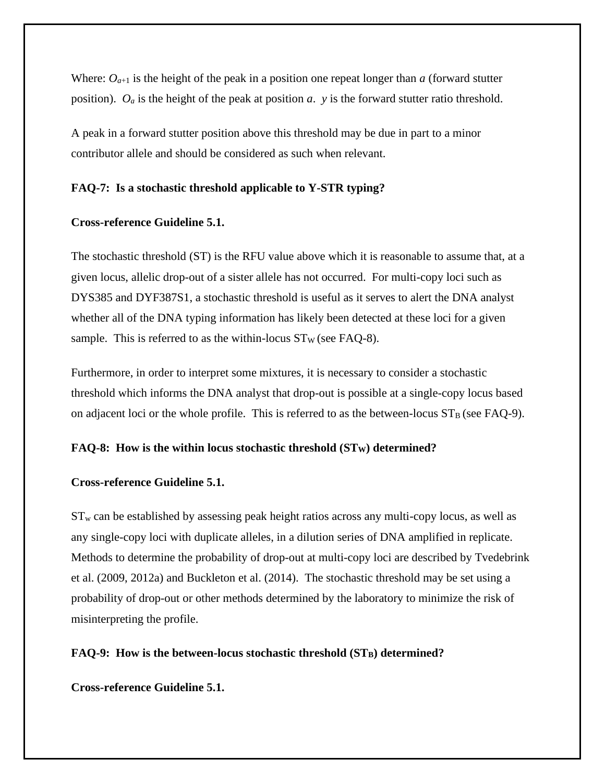Where:  $O_{a+1}$  is the height of the peak in a position one repeat longer than *a* (forward stutter position). *O<sup>a</sup>* is the height of the peak at position *a*. *y* is the forward stutter ratio threshold.

A peak in a forward stutter position above this threshold may be due in part to a minor contributor allele and should be considered as such when relevant.

### **FAQ-7: Is a stochastic threshold applicable to Y-STR typing?**

## **Cross-reference Guideline 5.1.**

The stochastic threshold (ST) is the RFU value above which it is reasonable to assume that, at a given locus, allelic drop-out of a sister allele has not occurred. For multi-copy loci such as DYS385 and DYF387S1, a stochastic threshold is useful as it serves to alert the DNA analyst whether all of the DNA typing information has likely been detected at these loci for a given sample. This is referred to as the within-locus  $ST_W$  (see FAQ-8).

Furthermore, in order to interpret some mixtures, it is necessary to consider a stochastic threshold which informs the DNA analyst that drop-out is possible at a single-copy locus based on adjacent loci or the whole profile. This is referred to as the between-locus  $ST_B$  (see FAQ-9).

## **FAQ-8: How is the within locus stochastic threshold (STW) determined?**

#### **Cross-reference Guideline 5.1.**

 $ST_w$  can be established by assessing peak height ratios across any multi-copy locus, as well as any single-copy loci with duplicate alleles, in a dilution series of DNA amplified in replicate. Methods to determine the probability of drop-out at multi-copy loci are described by Tvedebrink et al. (2009, 2012a) and Buckleton et al. (2014). The stochastic threshold may be set using a probability of drop-out or other methods determined by the laboratory to minimize the risk of misinterpreting the profile.

## **FAQ-9: How is the between-locus stochastic threshold (STB) determined?**

#### **Cross-reference Guideline 5.1.**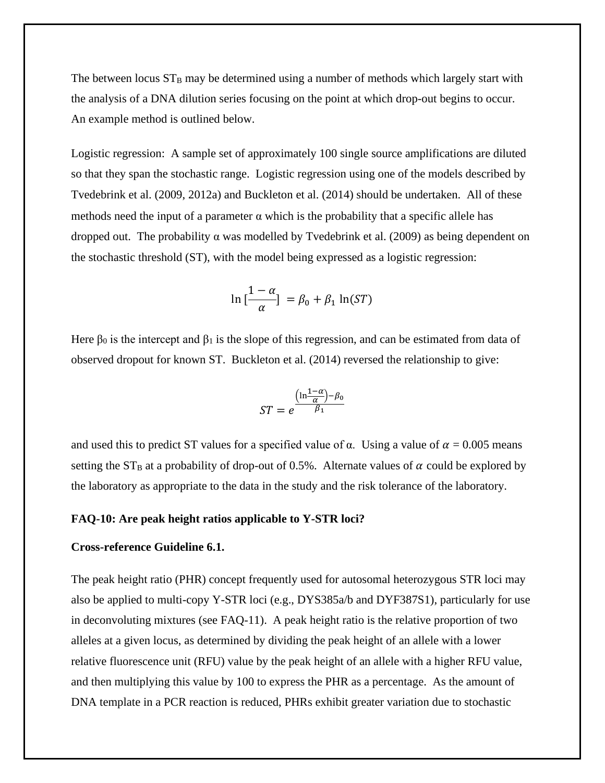The between locus  $ST_B$  may be determined using a number of methods which largely start with the analysis of a DNA dilution series focusing on the point at which drop-out begins to occur. An example method is outlined below.

Logistic regression: A sample set of approximately 100 single source amplifications are diluted so that they span the stochastic range. Logistic regression using one of the models described by Tvedebrink et al. (2009, 2012a) and Buckleton et al. (2014) should be undertaken. All of these methods need the input of a parameter  $\alpha$  which is the probability that a specific allele has dropped out. The probability  $\alpha$  was modelled by Tvedebrink et al. (2009) as being dependent on the stochastic threshold (ST), with the model being expressed as a logistic regression:

$$
\ln\left[\frac{1-\alpha}{\alpha}\right] = \beta_0 + \beta_1 \ln(ST)
$$

Here  $\beta_0$  is the intercept and  $\beta_1$  is the slope of this regression, and can be estimated from data of observed dropout for known ST. Buckleton et al. (2014) reversed the relationship to give:

$$
ST = e^{\frac{\left(\ln \frac{1-\alpha}{\alpha}\right) - \beta_0}{\beta_1}}
$$

and used this to predict ST values for a specified value of  $\alpha$ . Using a value of  $\alpha = 0.005$  means setting the  $ST_B$  at a probability of drop-out of 0.5%. Alternate values of  $\alpha$  could be explored by the laboratory as appropriate to the data in the study and the risk tolerance of the laboratory.

#### **FAQ-10: Are peak height ratios applicable to Y-STR loci?**

## **Cross-reference Guideline 6.1.**

The peak height ratio (PHR) concept frequently used for autosomal heterozygous STR loci may also be applied to multi-copy Y-STR loci (e.g., DYS385a/b and DYF387S1), particularly for use in deconvoluting mixtures (see FAQ-11). A peak height ratio is the relative proportion of two alleles at a given locus, as determined by dividing the peak height of an allele with a lower relative fluorescence unit (RFU) value by the peak height of an allele with a higher RFU value, and then multiplying this value by 100 to express the PHR as a percentage. As the amount of DNA template in a PCR reaction is reduced, PHRs exhibit greater variation due to stochastic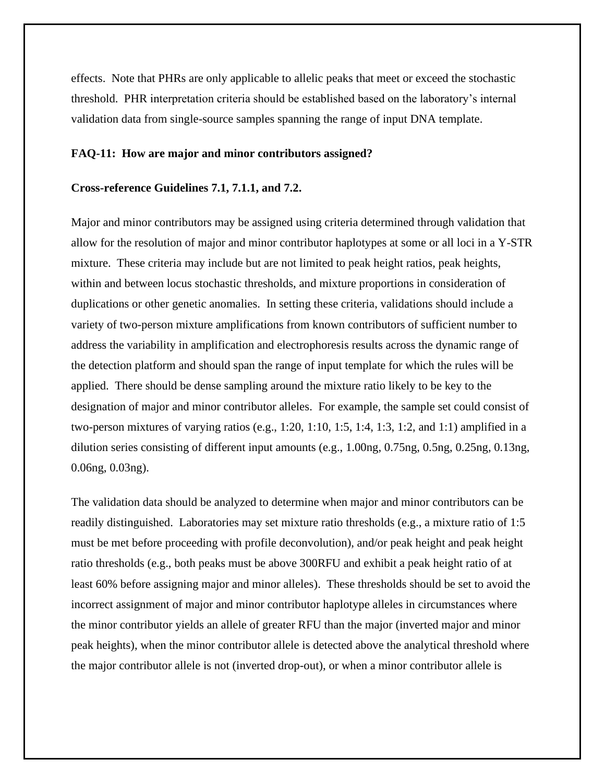effects. Note that PHRs are only applicable to allelic peaks that meet or exceed the stochastic threshold. PHR interpretation criteria should be established based on the laboratory's internal validation data from single-source samples spanning the range of input DNA template.

#### **FAQ-11: How are major and minor contributors assigned?**

#### **Cross-reference Guidelines 7.1, 7.1.1, and 7.2.**

Major and minor contributors may be assigned using criteria determined through validation that allow for the resolution of major and minor contributor haplotypes at some or all loci in a Y-STR mixture. These criteria may include but are not limited to peak height ratios, peak heights, within and between locus stochastic thresholds, and mixture proportions in consideration of duplications or other genetic anomalies. In setting these criteria, validations should include a variety of two-person mixture amplifications from known contributors of sufficient number to address the variability in amplification and electrophoresis results across the dynamic range of the detection platform and should span the range of input template for which the rules will be applied. There should be dense sampling around the mixture ratio likely to be key to the designation of major and minor contributor alleles. For example, the sample set could consist of two-person mixtures of varying ratios (e.g., 1:20, 1:10, 1:5, 1:4, 1:3, 1:2, and 1:1) amplified in a dilution series consisting of different input amounts (e.g., 1.00ng, 0.75ng, 0.5ng, 0.25ng, 0.13ng, 0.06ng, 0.03ng).

The validation data should be analyzed to determine when major and minor contributors can be readily distinguished. Laboratories may set mixture ratio thresholds (e.g., a mixture ratio of 1:5 must be met before proceeding with profile deconvolution), and/or peak height and peak height ratio thresholds (e.g., both peaks must be above 300RFU and exhibit a peak height ratio of at least 60% before assigning major and minor alleles). These thresholds should be set to avoid the incorrect assignment of major and minor contributor haplotype alleles in circumstances where the minor contributor yields an allele of greater RFU than the major (inverted major and minor peak heights), when the minor contributor allele is detected above the analytical threshold where the major contributor allele is not (inverted drop-out), or when a minor contributor allele is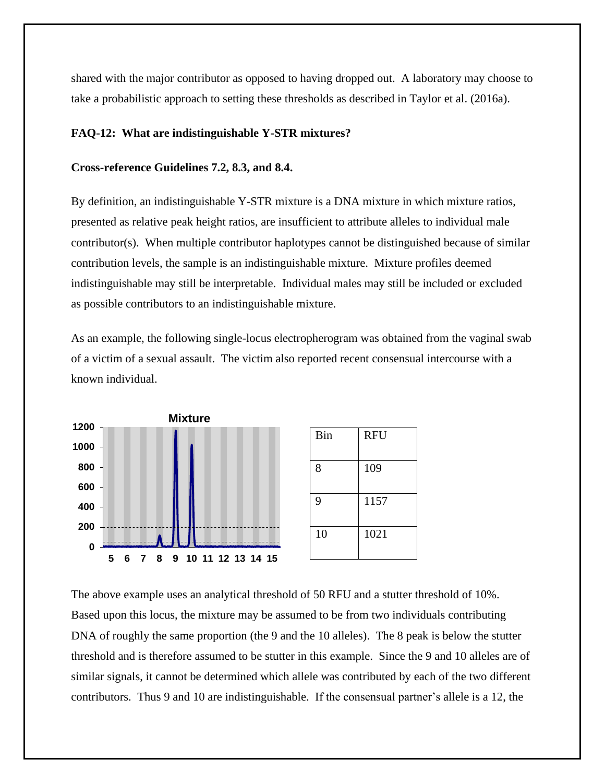shared with the major contributor as opposed to having dropped out. A laboratory may choose to take a probabilistic approach to setting these thresholds as described in Taylor et al. (2016a).

## **FAQ-12: What are indistinguishable Y-STR mixtures?**

#### **Cross-reference Guidelines 7.2, 8.3, and 8.4.**

By definition, an indistinguishable Y-STR mixture is a DNA mixture in which mixture ratios, presented as relative peak height ratios, are insufficient to attribute alleles to individual male contributor(s). When multiple contributor haplotypes cannot be distinguished because of similar contribution levels, the sample is an indistinguishable mixture. Mixture profiles deemed indistinguishable may still be interpretable. Individual males may still be included or excluded as possible contributors to an indistinguishable mixture.

As an example, the following single-locus electropherogram was obtained from the vaginal swab of a victim of a sexual assault. The victim also reported recent consensual intercourse with a known individual.



The above example uses an analytical threshold of 50 RFU and a stutter threshold of 10%. Based upon this locus, the mixture may be assumed to be from two individuals contributing DNA of roughly the same proportion (the 9 and the 10 alleles). The 8 peak is below the stutter threshold and is therefore assumed to be stutter in this example. Since the 9 and 10 alleles are of similar signals, it cannot be determined which allele was contributed by each of the two different contributors. Thus 9 and 10 are indistinguishable. If the consensual partner's allele is a 12, the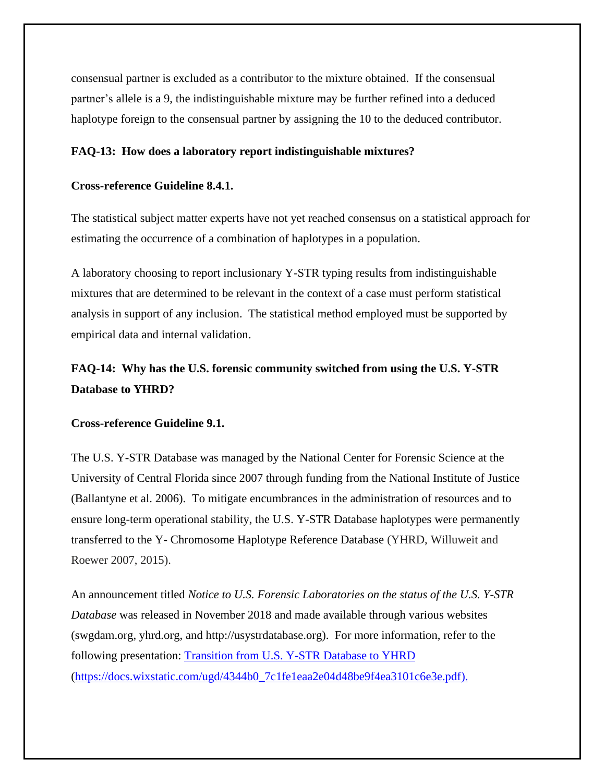consensual partner is excluded as a contributor to the mixture obtained. If the consensual partner's allele is a 9, the indistinguishable mixture may be further refined into a deduced haplotype foreign to the consensual partner by assigning the 10 to the deduced contributor.

## **FAQ-13: How does a laboratory report indistinguishable mixtures?**

## **Cross-reference Guideline 8.4.1.**

The statistical subject matter experts have not yet reached consensus on a statistical approach for estimating the occurrence of a combination of haplotypes in a population.

A laboratory choosing to report inclusionary Y-STR typing results from indistinguishable mixtures that are determined to be relevant in the context of a case must perform statistical analysis in support of any inclusion. The statistical method employed must be supported by empirical data and internal validation.

# **FAQ-14: Why has the U.S. forensic community switched from using the U.S. Y-STR Database to YHRD?**

#### **Cross-reference Guideline 9.1.**

The U.S. Y-STR Database was managed by the National Center for Forensic Science at the University of Central Florida since 2007 through funding from the National Institute of Justice (Ballantyne et al. 2006). To mitigate encumbrances in the administration of resources and to ensure long-term operational stability, the U.S. Y-STR Database haplotypes were permanently transferred to the Y- Chromosome Haplotype Reference Database (YHRD, Willuweit and Roewer 2007, 2015).

An announcement titled *Notice to U.S. Forensic Laboratories on the status of the U.S. Y-STR Database* was released in November 2018 and made available through various websites (swgdam.org, yhrd.org, and [http://usystrdatabase.org\)](http://usystrdatabase.org/). For more information, refer to the following presentation: [Transition from U.S. Y-STR Database to YHRD](https://docs.wixstatic.com/ugd/4344b0_7c1fe1eaa2e04d48be9f4ea3101c6e3e.pdf) [\(https://docs.wixstatic.com/ugd/4344b0\\_7c1fe1eaa2e04d48be9f4ea3101c6e3e.pdf\)](https://docs.wixstatic.com/ugd/4344b0_7c1fe1eaa2e04d48be9f4ea3101c6e3e.pdf).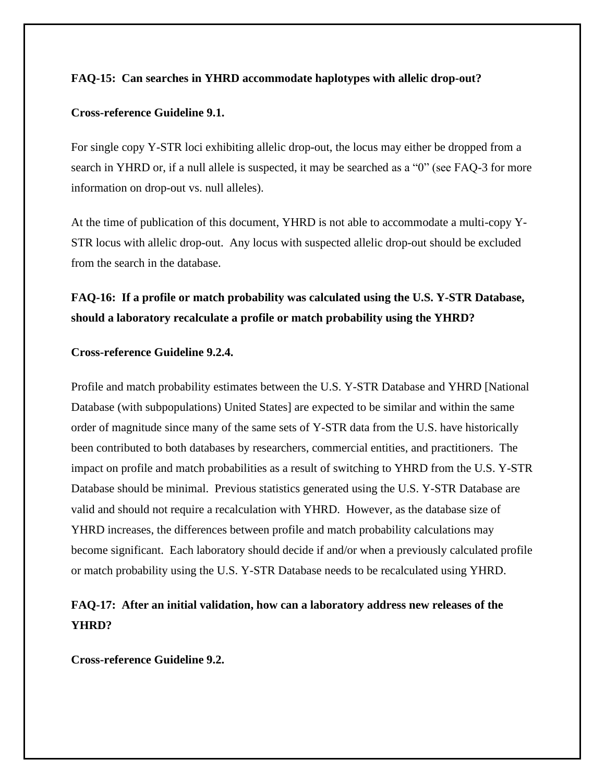## **FAQ-15: Can searches in YHRD accommodate haplotypes with allelic drop-out?**

## **Cross-reference Guideline 9.1.**

For single copy Y-STR loci exhibiting allelic drop-out, the locus may either be dropped from a search in YHRD or, if a null allele is suspected, it may be searched as a "0" (see FAQ-3 for more information on drop-out vs. null alleles).

At the time of publication of this document, YHRD is not able to accommodate a multi-copy Y-STR locus with allelic drop-out. Any locus with suspected allelic drop-out should be excluded from the search in the database.

# **FAQ-16: If a profile or match probability was calculated using the U.S. Y-STR Database, should a laboratory recalculate a profile or match probability using the YHRD?**

#### **Cross-reference Guideline 9.2.4.**

Profile and match probability estimates between the U.S. Y-STR Database and YHRD [National Database (with subpopulations) United States] are expected to be similar and within the same order of magnitude since many of the same sets of Y-STR data from the U.S. have historically been contributed to both databases by researchers, commercial entities, and practitioners. The impact on profile and match probabilities as a result of switching to YHRD from the U.S. Y-STR Database should be minimal. Previous statistics generated using the U.S. Y-STR Database are valid and should not require a recalculation with YHRD. However, as the database size of YHRD increases, the differences between profile and match probability calculations may become significant. Each laboratory should decide if and/or when a previously calculated profile or match probability using the U.S. Y-STR Database needs to be recalculated using YHRD.

# **FAQ-17: After an initial validation, how can a laboratory address new releases of the YHRD?**

**Cross-reference Guideline 9.2.**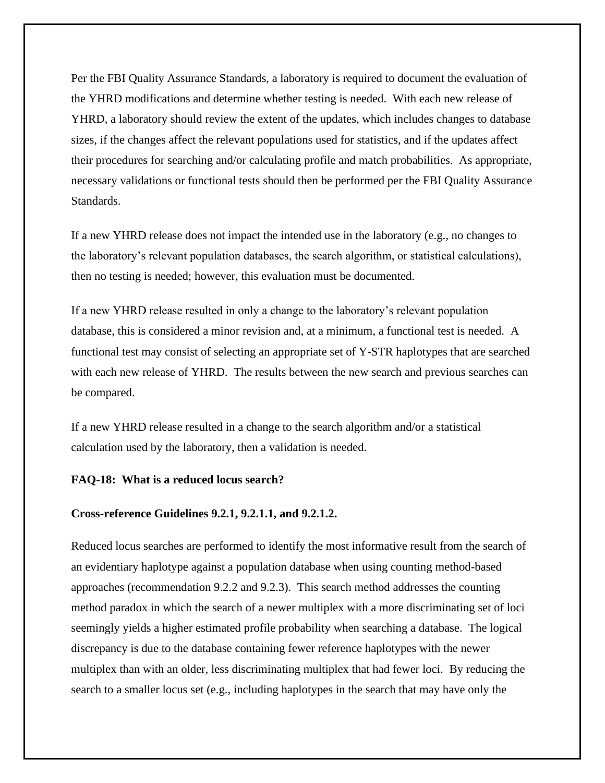Per the FBI Quality Assurance Standards, a laboratory is required to document the evaluation of the YHRD modifications and determine whether testing is needed. With each new release of YHRD, a laboratory should review the extent of the updates, which includes changes to database sizes, if the changes affect the relevant populations used for statistics, and if the updates affect their procedures for searching and/or calculating profile and match probabilities. As appropriate, necessary validations or functional tests should then be performed per the FBI Quality Assurance Standards.

If a new YHRD release does not impact the intended use in the laboratory (e.g., no changes to the laboratory's relevant population databases, the search algorithm, or statistical calculations), then no testing is needed; however, this evaluation must be documented.

If a new YHRD release resulted in only a change to the laboratory's relevant population database, this is considered a minor revision and, at a minimum, a functional test is needed. A functional test may consist of selecting an appropriate set of Y-STR haplotypes that are searched with each new release of YHRD. The results between the new search and previous searches can be compared.

If a new YHRD release resulted in a change to the search algorithm and/or a statistical calculation used by the laboratory, then a validation is needed.

## **FAQ-18: What is a reduced locus search?**

### **Cross-reference Guidelines 9.2.1, 9.2.1.1, and 9.2.1.2.**

Reduced locus searches are performed to identify the most informative result from the search of an evidentiary haplotype against a population database when using counting method-based approaches (recommendation 9.2.2 and 9.2.3). This search method addresses the counting method paradox in which the search of a newer multiplex with a more discriminating set of loci seemingly yields a higher estimated profile probability when searching a database. The logical discrepancy is due to the database containing fewer reference haplotypes with the newer multiplex than with an older, less discriminating multiplex that had fewer loci. By reducing the search to a smaller locus set (e.g., including haplotypes in the search that may have only the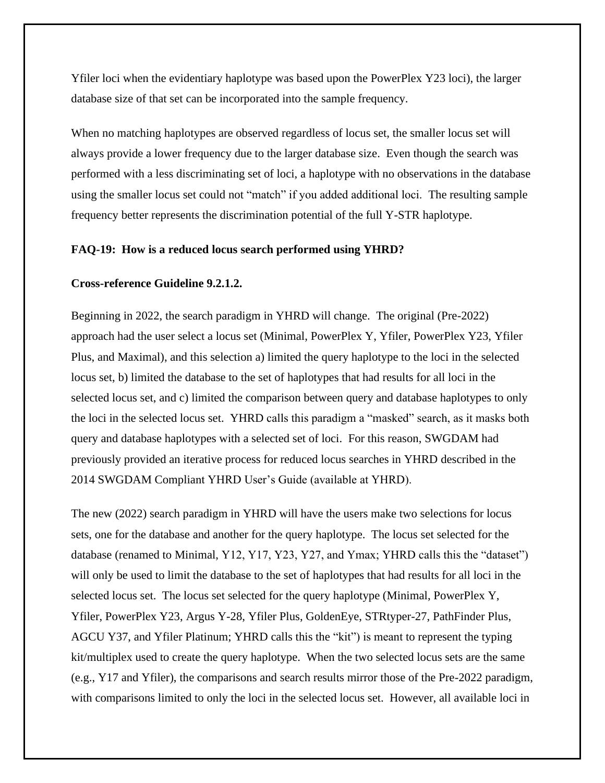Yfiler loci when the evidentiary haplotype was based upon the PowerPlex Y23 loci), the larger database size of that set can be incorporated into the sample frequency.

When no matching haplotypes are observed regardless of locus set, the smaller locus set will always provide a lower frequency due to the larger database size. Even though the search was performed with a less discriminating set of loci, a haplotype with no observations in the database using the smaller locus set could not "match" if you added additional loci. The resulting sample frequency better represents the discrimination potential of the full Y-STR haplotype.

## **FAQ-19: How is a reduced locus search performed using YHRD?**

## **Cross-reference Guideline 9.2.1.2.**

Beginning in 2022, the search paradigm in YHRD will change. The original (Pre-2022) approach had the user select a locus set (Minimal, PowerPlex Y, Yfiler, PowerPlex Y23, Yfiler Plus, and Maximal), and this selection a) limited the query haplotype to the loci in the selected locus set, b) limited the database to the set of haplotypes that had results for all loci in the selected locus set, and c) limited the comparison between query and database haplotypes to only the loci in the selected locus set. YHRD calls this paradigm a "masked" search, as it masks both query and database haplotypes with a selected set of loci. For this reason, SWGDAM had previously provided an iterative process for reduced locus searches in YHRD described in the 2014 SWGDAM Compliant YHRD User's Guide (available at YHRD).

The new (2022) search paradigm in YHRD will have the users make two selections for locus sets, one for the database and another for the query haplotype. The locus set selected for the database (renamed to Minimal, Y12, Y17, Y23, Y27, and Ymax; YHRD calls this the "dataset") will only be used to limit the database to the set of haplotypes that had results for all loci in the selected locus set. The locus set selected for the query haplotype (Minimal, PowerPlex Y, Yfiler, PowerPlex Y23, Argus Y-28, Yfiler Plus, GoldenEye, STRtyper-27, PathFinder Plus, AGCU Y37, and Yfiler Platinum; YHRD calls this the "kit") is meant to represent the typing kit/multiplex used to create the query haplotype. When the two selected locus sets are the same (e.g., Y17 and Yfiler), the comparisons and search results mirror those of the Pre-2022 paradigm, with comparisons limited to only the loci in the selected locus set. However, all available loci in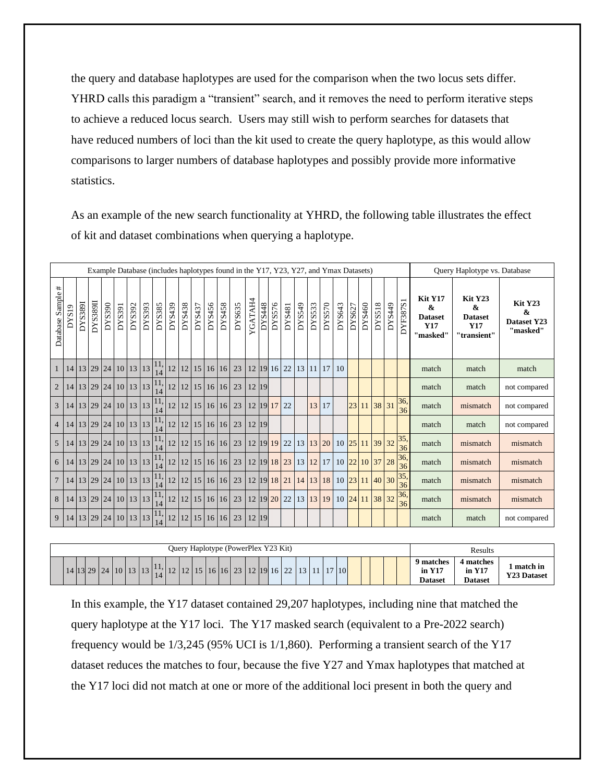the query and database haplotypes are used for the comparison when the two locus sets differ. YHRD calls this paradigm a "transient" search, and it removes the need to perform iterative steps to achieve a reduced locus search. Users may still wish to perform searches for datasets that have reduced numbers of loci than the kit used to create the query haplotype, as this would allow comparisons to larger numbers of database haplotypes and possibly provide more informative statistics.

As an example of the new search functionality at YHRD, the following table illustrates the effect of kit and dataset combinations when querying a haplotype.

|                   |       |                |          |                                  |        |        |        |                 |        |        |        |        |        | Example Database (includes haplotypes found in the Y17, Y23, Y27, and Ymax Datasets) |         |        |        |        |                      |          |        |        |        |                |               |        |                                     |                                                                       | Query Haplotype vs. Database                                             |                                         |
|-------------------|-------|----------------|----------|----------------------------------|--------|--------|--------|-----------------|--------|--------|--------|--------|--------|--------------------------------------------------------------------------------------|---------|--------|--------|--------|----------------------|----------|--------|--------|--------|----------------|---------------|--------|-------------------------------------|-----------------------------------------------------------------------|--------------------------------------------------------------------------|-----------------------------------------|
| Database Sample # | DYS19 | <b>DYS389I</b> | DYS389II | DYS390                           | DYS391 | DYS392 | DYS393 | DYS385          | DYS439 | DYS438 | DYS437 | DYS456 | DYS458 | DYS635                                                                               | YGATAH4 | DYS448 | DYS576 | DYS481 | DYS549               | DYS533   | DYS570 | DYS643 | DYS627 | DYS460         | <b>DYS518</b> | DYS449 | $\overline{\phantom{0}}$<br>DYF387S | Kit Y17<br>$\boldsymbol{\alpha}$<br><b>Dataset</b><br>Y17<br>"masked" | Kit Y23<br>$\boldsymbol{\alpha}$<br><b>Dataset</b><br>Y17<br>"transient" | Kit Y23<br>&<br>Dataset Y23<br>"masked" |
| $\mathbf{1}$      |       |                |          | 14 13 29 24 10 13 13             |        |        |        | 11,<br>14       | 12     |        |        |        |        | 12 15 16 16 23                                                                       |         |        |        |        | 12 19 16 22 13 11 17 |          |        | 10     |        |                |               |        |                                     | match                                                                 | match                                                                    | match                                   |
| $\overline{2}$    |       |                |          | 14 13 29 24 10 13 13             |        |        |        | 11,             | 12     |        |        |        |        | $12$   15   16   16   23                                                             | 12 19   |        |        |        |                      |          |        |        |        |                |               |        |                                     | match                                                                 | match                                                                    | not compared                            |
| 3                 |       |                |          | 14   13   29   24   10   13   13 |        |        |        | 11,             | 12     |        |        |        |        | 12   15   16   16   23   12   19   17   22                                           |         |        |        |        |                      |          | 13 17  |        |        | 23 11 38 31    |               |        | $\frac{36}{36}$                     | match                                                                 | mismatch                                                                 | not compared                            |
| $\overline{4}$    |       |                |          | 14 13 29 24 10 13 13             |        |        |        |                 | 12     |        |        |        |        | $12$   15   16   16   23                                                             | 12 19   |        |        |        |                      |          |        |        |        |                |               |        |                                     | match                                                                 | match                                                                    | not compared                            |
| 5 <sup>5</sup>    |       |                |          | 14 13 29 24 10 13 13             |        |        |        | $\frac{11}{14}$ | 12     |        |        |        |        | 12   15   16   16   23   12   19   19   22                                           |         |        |        |        |                      | 13 13 20 |        |        |        | 10 25 11 39 32 |               |        | $\frac{35}{36}$                     | match                                                                 | mismatch                                                                 | mismatch                                |
| 6                 |       |                |          | 14 13 29 24 10 13 13             |        |        |        | 11,             | 12     |        |        |        |        | 12 15 16 16 23 12 19 18 23 13 12 17                                                  |         |        |        |        |                      |          |        |        |        | 10 22 10 37 28 |               |        | 36,<br>36                           | match                                                                 | mismatch                                                                 | mismatch                                |
| $\overline{7}$    |       |                |          | 14   13   29   24   10   13   13 |        |        |        | 11.             | 12     |        |        |        |        | $12$   15   16   16   23                                                             |         |        |        |        | 12 19 18 21 14 13 18 |          |        |        |        | 10 23 11 40 30 |               |        | 35,<br>36                           | match                                                                 | mismatch                                                                 | mismatch                                |
| 8                 |       |                |          | 14   13   29   24   10   13   13 |        |        |        | $\frac{11}{14}$ | 12     |        |        |        |        | 12 15 16 16 23 12 19 20 22 13 13 19                                                  |         |        |        |        |                      |          |        |        |        | 10 24 11 38 32 |               |        | $\frac{36}{36}$                     | match                                                                 | mismatch                                                                 | mismatch                                |
| 9                 |       |                |          | 14   13   29   24   10   13   13 |        |        |        | 11,             | 12     |        |        |        |        | $12$   15   16   16   23                                                             | 12 19   |        |        |        |                      |          |        |        |        |                |               |        |                                     | match                                                                 | match                                                                    | not compared                            |

|                                                         | Results                                                   |                                                                                                                  |
|---------------------------------------------------------|-----------------------------------------------------------|------------------------------------------------------------------------------------------------------------------|
| $14$   13   29   24   10   13   13   $1/$   12   12   1 | 15   16   16   23   12   19   16   22   13   11   17   10 | 9 matches<br><b>4 matches</b><br>match in<br>in Y17<br>in Y17<br><b>Y23 Dataset</b><br><b>Dataset</b><br>Dataset |

In this example, the Y17 dataset contained 29,207 haplotypes, including nine that matched the query haplotype at the Y17 loci. The Y17 masked search (equivalent to a Pre-2022 search) frequency would be 1/3,245 (95% UCI is 1/1,860). Performing a transient search of the Y17 dataset reduces the matches to four, because the five Y27 and Ymax haplotypes that matched at the Y17 loci did not match at one or more of the additional loci present in both the query and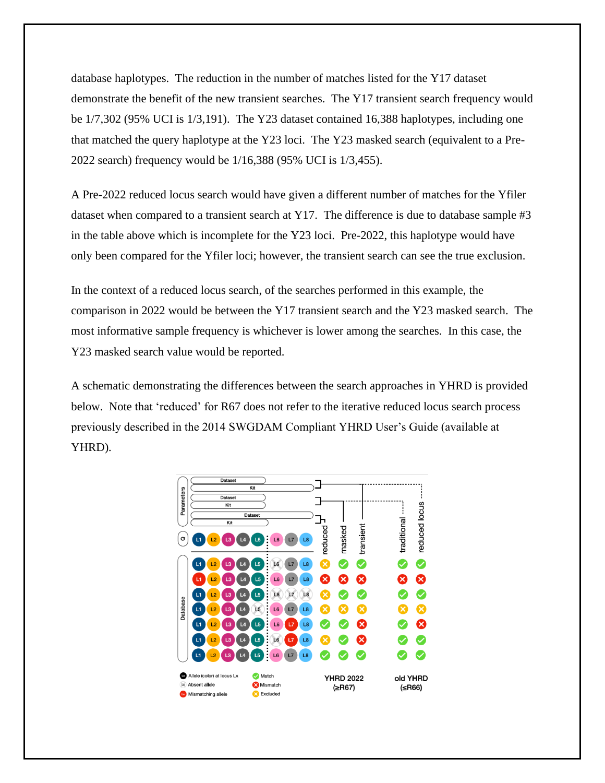database haplotypes. The reduction in the number of matches listed for the Y17 dataset demonstrate the benefit of the new transient searches. The Y17 transient search frequency would be 1/7,302 (95% UCI is 1/3,191). The Y23 dataset contained 16,388 haplotypes, including one that matched the query haplotype at the Y23 loci. The Y23 masked search (equivalent to a Pre-2022 search) frequency would be 1/16,388 (95% UCI is 1/3,455).

A Pre-2022 reduced locus search would have given a different number of matches for the Yfiler dataset when compared to a transient search at Y17. The difference is due to database sample #3 in the table above which is incomplete for the Y23 loci. Pre-2022, this haplotype would have only been compared for the Yfiler loci; however, the transient search can see the true exclusion.

In the context of a reduced locus search, of the searches performed in this example, the comparison in 2022 would be between the Y17 transient search and the Y23 masked search. The most informative sample frequency is whichever is lower among the searches. In this case, the Y23 masked search value would be reported.

A schematic demonstrating the differences between the search approaches in YHRD is provided below. Note that 'reduced' for R67 does not refer to the iterative reduced locus search process previously described in the 2014 SWGDAM Compliant YHRD User's Guide (available at YHRD).

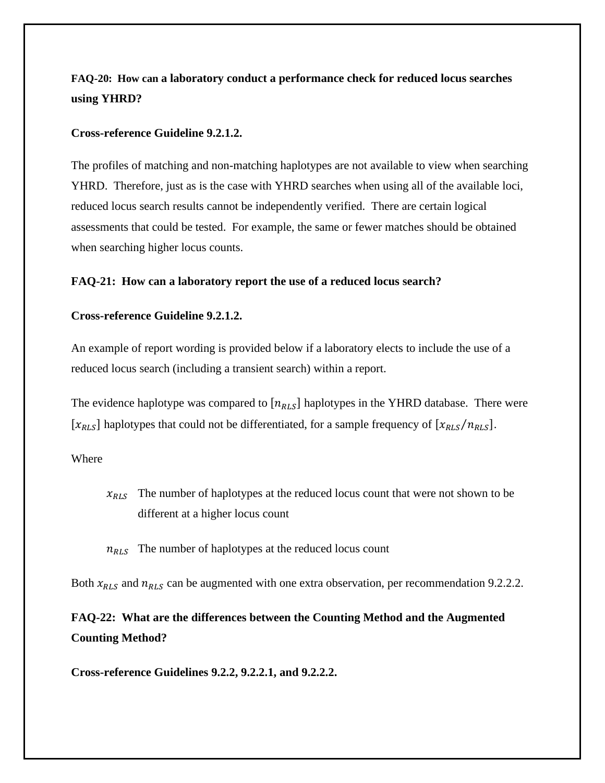# **FAQ-20: How can a laboratory conduct a performance check for reduced locus searches using YHRD?**

## **Cross-reference Guideline 9.2.1.2.**

The profiles of matching and non-matching haplotypes are not available to view when searching YHRD. Therefore, just as is the case with YHRD searches when using all of the available loci, reduced locus search results cannot be independently verified. There are certain logical assessments that could be tested. For example, the same or fewer matches should be obtained when searching higher locus counts.

## **FAQ-21: How can a laboratory report the use of a reduced locus search?**

## **Cross-reference Guideline 9.2.1.2.**

An example of report wording is provided below if a laboratory elects to include the use of a reduced locus search (including a transient search) within a report.

The evidence haplotype was compared to  $[n_{RLS}]$  haplotypes in the YHRD database. There were  $[x_{RLS}]$  haplotypes that could not be differentiated, for a sample frequency of  $[x_{RLS}/n_{RLS}]$ .

## Where

 $x_{RLS}$  The number of haplotypes at the reduced locus count that were not shown to be different at a higher locus count

 $n_{RLS}$  The number of haplotypes at the reduced locus count

Both  $x_{RLS}$  and  $n_{RLS}$  can be augmented with one extra observation, per recommendation 9.2.2.2.

**FAQ-22: What are the differences between the Counting Method and the Augmented Counting Method?**

**Cross-reference Guidelines 9.2.2, 9.2.2.1, and 9.2.2.2.**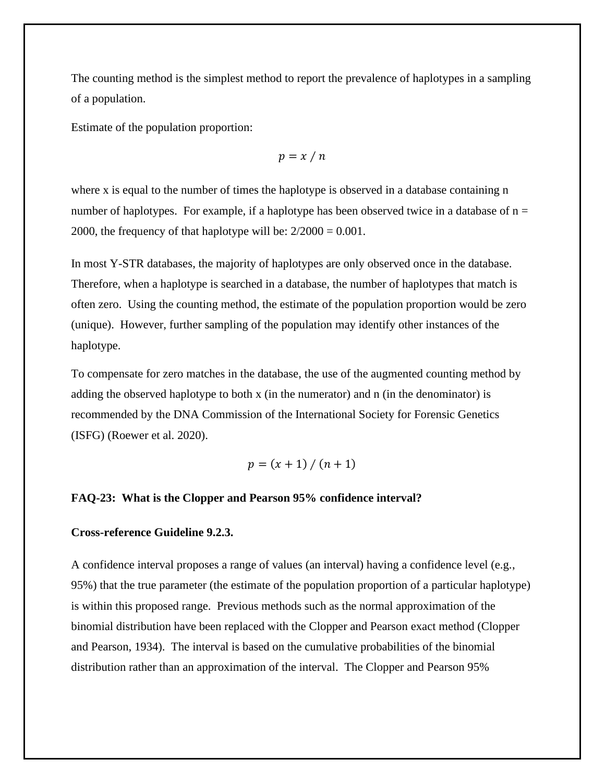The counting method is the simplest method to report the prevalence of haplotypes in a sampling of a population.

Estimate of the population proportion:

$$
p = x / n
$$

where x is equal to the number of times the haplotype is observed in a database containing n number of haplotypes. For example, if a haplotype has been observed twice in a database of  $n =$ 2000, the frequency of that haplotype will be:  $2/2000 = 0.001$ .

In most Y-STR databases, the majority of haplotypes are only observed once in the database. Therefore, when a haplotype is searched in a database, the number of haplotypes that match is often zero. Using the counting method, the estimate of the population proportion would be zero (unique). However, further sampling of the population may identify other instances of the haplotype.

To compensate for zero matches in the database, the use of the augmented counting method by adding the observed haplotype to both x (in the numerator) and n (in the denominator) is recommended by the DNA Commission of the International Society for Forensic Genetics (ISFG) (Roewer et al. 2020).

$$
p = (x + 1) / (n + 1)
$$

## **FAQ-23: What is the Clopper and Pearson 95% confidence interval?**

#### **Cross-reference Guideline 9.2.3.**

A confidence interval proposes a range of values (an interval) having a confidence level (e.g., 95%) that the true parameter (the estimate of the population proportion of a particular haplotype) is within this proposed range. Previous methods such as the normal approximation of the binomial distribution have been replaced with the Clopper and Pearson exact method (Clopper and Pearson, 1934). The interval is based on the cumulative probabilities of the binomial distribution rather than an approximation of the interval. The Clopper and Pearson 95%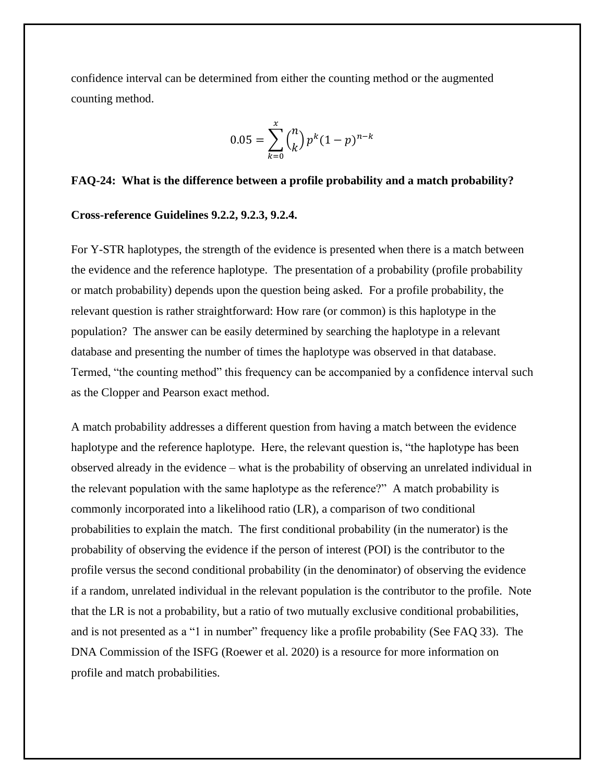confidence interval can be determined from either the counting method or the augmented counting method.

$$
0.05 = \sum_{k=0}^{x} {n \choose k} p^{k} (1-p)^{n-k}
$$

#### **FAQ-24: What is the difference between a profile probability and a match probability?**

#### **Cross-reference Guidelines 9.2.2, 9.2.3, 9.2.4.**

For Y-STR haplotypes, the strength of the evidence is presented when there is a match between the evidence and the reference haplotype. The presentation of a probability (profile probability or match probability) depends upon the question being asked. For a profile probability, the relevant question is rather straightforward: How rare (or common) is this haplotype in the population? The answer can be easily determined by searching the haplotype in a relevant database and presenting the number of times the haplotype was observed in that database. Termed, "the counting method" this frequency can be accompanied by a confidence interval such as the Clopper and Pearson exact method.

A match probability addresses a different question from having a match between the evidence haplotype and the reference haplotype. Here, the relevant question is, "the haplotype has been observed already in the evidence – what is the probability of observing an unrelated individual in the relevant population with the same haplotype as the reference?" A match probability is commonly incorporated into a likelihood ratio (LR), a comparison of two conditional probabilities to explain the match. The first conditional probability (in the numerator) is the probability of observing the evidence if the person of interest (POI) is the contributor to the profile versus the second conditional probability (in the denominator) of observing the evidence if a random, unrelated individual in the relevant population is the contributor to the profile. Note that the LR is not a probability, but a ratio of two mutually exclusive conditional probabilities, and is not presented as a "1 in number" frequency like a profile probability (See FAQ 33). The DNA Commission of the ISFG (Roewer et al. 2020) is a resource for more information on profile and match probabilities.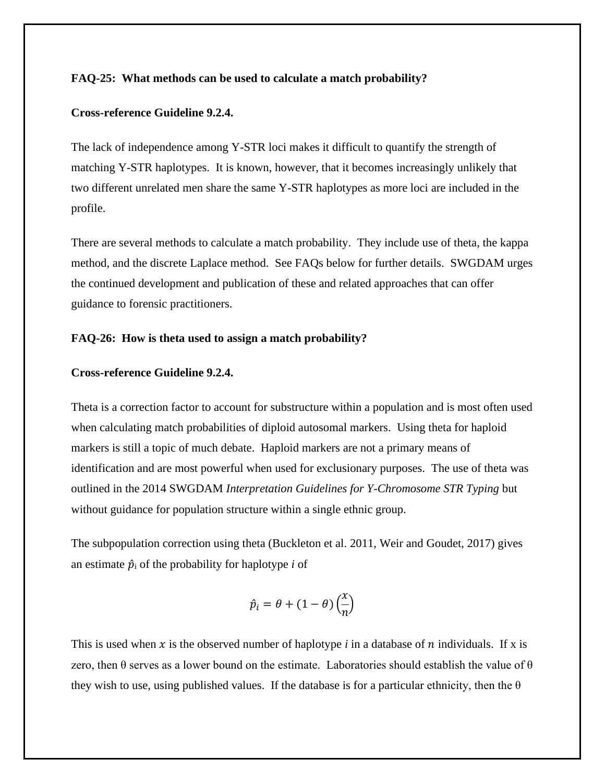## **FAQ-25: What methods can be used to calculate a match probability?**

#### **Cross-reference Guideline 9.2.4.**

The lack of independence among Y-STR loci makes it difficult to quantify the strength of matching Y-STR haplotypes. It is known, however, that it becomes increasingly unlikely that two different unrelated men share the same Y-STR haplotypes as more loci are included in the profile.

There are several methods to calculate a match probability. They include use of theta, the kappa method, and the discrete Laplace method. See FAQs below for further details. SWGDAM urges the continued development and publication of these and related approaches that can offer guidance to forensic practitioners.

## **FAQ-26: How is theta used to assign a match probability?**

#### **Cross-reference Guideline 9.2.4.**

Theta is a correction factor to account for substructure within a population and is most often used when calculating match probabilities of diploid autosomal markers. Using theta for haploid markers is still a topic of much debate. Haploid markers are not a primary means of identification and are most powerful when used for exclusionary purposes. The use of theta was outlined in the 2014 SWGDAM *Interpretation Guidelines for Y-Chromosome STR Typing* but without guidance for population structure within a single ethnic group.

The subpopulation correction using theta (Buckleton et al. 2011, Weir and Goudet, 2017) gives an estimate  $\hat{p}_i$  of the probability for haplotype *i* of

$$
\hat{p}_i = \theta + (1 - \theta) \left(\frac{x}{n}\right)
$$

This is used when x is the observed number of haplotype *i* in a database of n individuals. If x is zero, then  $\theta$  serves as a lower bound on the estimate. Laboratories should establish the value of  $\theta$ they wish to use, using published values. If the database is for a particular ethnicity, then the  $\theta$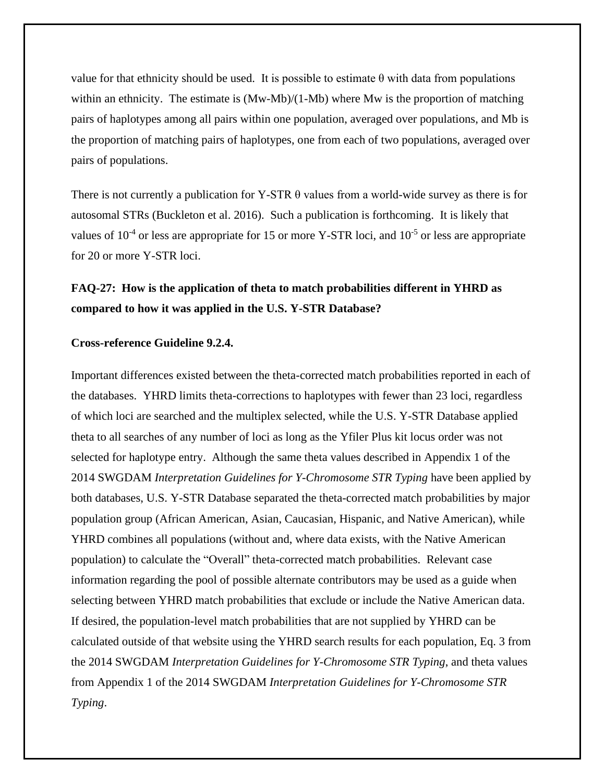value for that ethnicity should be used. It is possible to estimate θ with data from populations within an ethnicity. The estimate is  $(Mw-Mb)/(1-Mb)$  where Mw is the proportion of matching pairs of haplotypes among all pairs within one population, averaged over populations, and Mb is the proportion of matching pairs of haplotypes, one from each of two populations, averaged over pairs of populations.

There is not currently a publication for Y-STR  $\theta$  values from a world-wide survey as there is for autosomal STRs (Buckleton et al. 2016). Such a publication is forthcoming. It is likely that values of  $10^{-4}$  or less are appropriate for 15 or more Y-STR loci, and  $10^{-5}$  or less are appropriate for 20 or more Y-STR loci.

# **FAQ-27: How is the application of theta to match probabilities different in YHRD as compared to how it was applied in the U.S. Y-STR Database?**

## **Cross-reference Guideline 9.2.4.**

Important differences existed between the theta-corrected match probabilities reported in each of the databases. YHRD limits theta-corrections to haplotypes with fewer than 23 loci, regardless of which loci are searched and the multiplex selected, while the U.S. Y-STR Database applied theta to all searches of any number of loci as long as the Yfiler Plus kit locus order was not selected for haplotype entry. Although the same theta values described in Appendix 1 of the 2014 SWGDAM *Interpretation Guidelines for Y-Chromosome STR Typing* have been applied by both databases, U.S. Y-STR Database separated the theta-corrected match probabilities by major population group (African American, Asian, Caucasian, Hispanic, and Native American), while YHRD combines all populations (without and, where data exists, with the Native American population) to calculate the "Overall" theta-corrected match probabilities. Relevant case information regarding the pool of possible alternate contributors may be used as a guide when selecting between YHRD match probabilities that exclude or include the Native American data. If desired, the population-level match probabilities that are not supplied by YHRD can be calculated outside of that website using the YHRD search results for each population, Eq. 3 from the 2014 SWGDAM *Interpretation Guidelines for Y-Chromosome STR Typing*, and theta values from Appendix 1 of the 2014 SWGDAM *Interpretation Guidelines for Y-Chromosome STR Typing*.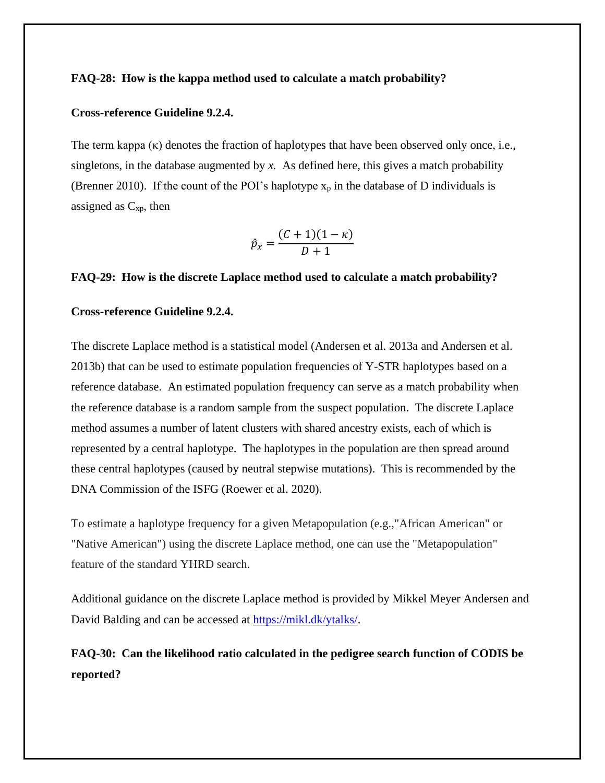## **FAQ-28: How is the kappa method used to calculate a match probability?**

#### **Cross-reference Guideline 9.2.4.**

The term kappa  $(\kappa)$  denotes the fraction of haplotypes that have been observed only once, i.e., singletons, in the database augmented by  $x$ . As defined here, this gives a match probability (Brenner 2010). If the count of the POI's haplotype  $x_p$  in the database of D individuals is assigned as  $C_{xp}$ , then

$$
\hat{p}_x = \frac{(C+1)(1-\kappa)}{D+1}
$$

## **FAQ-29: How is the discrete Laplace method used to calculate a match probability?**

## **Cross-reference Guideline 9.2.4.**

The discrete Laplace method is a statistical model (Andersen et al. 2013a and Andersen et al. 2013b) that can be used to estimate population frequencies of Y-STR haplotypes based on a reference database. An estimated population frequency can serve as a match probability when the reference database is a random sample from the suspect population. The discrete Laplace method assumes a number of latent clusters with shared ancestry exists, each of which is represented by a central haplotype. The haplotypes in the population are then spread around these central haplotypes (caused by neutral stepwise mutations). This is recommended by the DNA Commission of the ISFG (Roewer et al. 2020).

To estimate a haplotype frequency for a given Metapopulation (e.g.,"African American" or "Native American") using the discrete Laplace method, one can use the "Metapopulation" feature of the standard YHRD search.

Additional guidance on the discrete Laplace method is provided by Mikkel Meyer Andersen and David Balding and can be accessed at [https://mikl.dk/ytalks/.](https://nam04.safelinks.protection.outlook.com/?url=https%3A%2F%2Fmikl.dk%2Fytalks%2F&data=02%7C01%7CDixie.Peters%40unthsc.edu%7Cd6b0df9fbb5a45ad6af608d86700c420%7C70de199207c6480fa318a1afcba03983%7C0%7C0%7C637372600272090534&sdata=aUGl%2BSvV0ODqP1PMsCyt6NULDwqP53Olr%2Fsa538Nd1g%3D&reserved=0)

**FAQ-30: Can the likelihood ratio calculated in the pedigree search function of CODIS be reported?**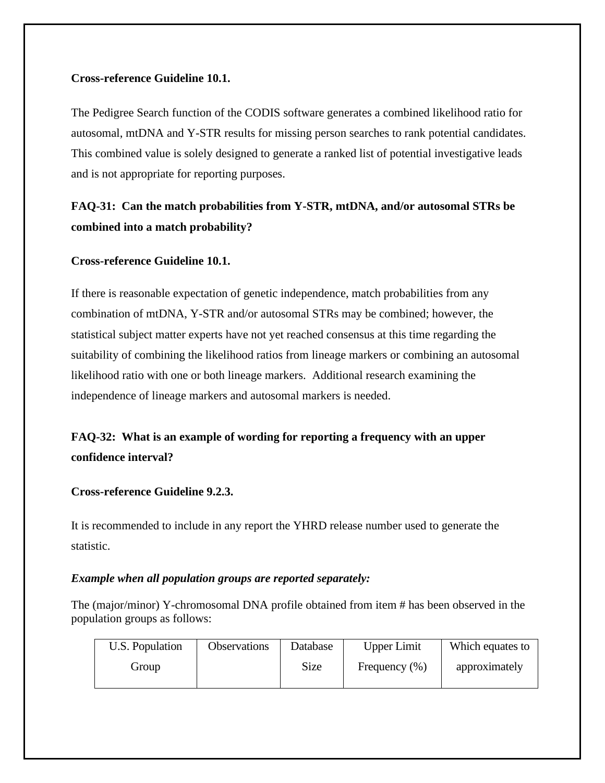## **Cross-reference Guideline 10.1.**

The Pedigree Search function of the CODIS software generates a combined likelihood ratio for autosomal, mtDNA and Y-STR results for missing person searches to rank potential candidates. This combined value is solely designed to generate a ranked list of potential investigative leads and is not appropriate for reporting purposes.

# **FAQ-31: Can the match probabilities from Y-STR, mtDNA, and/or autosomal STRs be combined into a match probability?**

# **Cross-reference Guideline 10.1.**

If there is reasonable expectation of genetic independence, match probabilities from any combination of mtDNA, Y-STR and/or autosomal STRs may be combined; however, the statistical subject matter experts have not yet reached consensus at this time regarding the suitability of combining the likelihood ratios from lineage markers or combining an autosomal likelihood ratio with one or both lineage markers. Additional research examining the independence of lineage markers and autosomal markers is needed.

# **FAQ-32: What is an example of wording for reporting a frequency with an upper confidence interval?**

## **Cross-reference Guideline 9.2.3.**

It is recommended to include in any report the YHRD release number used to generate the statistic.

# *Example when all population groups are reported separately:*

The (major/minor) Y-chromosomal DNA profile obtained from item # has been observed in the population groups as follows:

| U.S. Population | <b>Observations</b> | Database    | <b>Upper Limit</b> | Which equates to |
|-----------------|---------------------|-------------|--------------------|------------------|
| Group           |                     | <b>Size</b> | Frequency $(\%)$   | approximately    |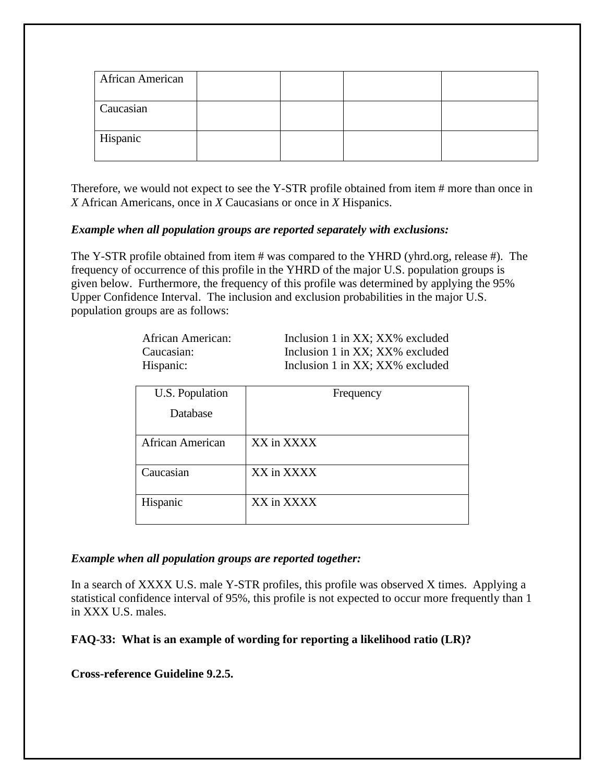| African American |  |  |
|------------------|--|--|
| Caucasian        |  |  |
| Hispanic         |  |  |

Therefore, we would not expect to see the Y-STR profile obtained from item # more than once in *X* African Americans, once in *X* Caucasians or once in *X* Hispanics.

## *Example when all population groups are reported separately with exclusions:*

The Y-STR profile obtained from item # was compared to the YHRD (yhrd.org, release #). The frequency of occurrence of this profile in the YHRD of the major U.S. population groups is given below. Furthermore, the frequency of this profile was determined by applying the 95% Upper Confidence Interval. The inclusion and exclusion probabilities in the major U.S. population groups are as follows:

| African American: | Inclusion 1 in XX; XX% excluded |
|-------------------|---------------------------------|
| Caucasian:        | Inclusion 1 in XX; XX% excluded |
| Hispanic:         | Inclusion 1 in XX; XX% excluded |

| U.S. Population         | Frequency  |
|-------------------------|------------|
| Database                |            |
| <b>African American</b> | XX in XXXX |
| Caucasian               | XX in XXXX |
| Hispanic                | XX in XXXX |

## *Example when all population groups are reported together:*

In a search of XXXX U.S. male Y-STR profiles, this profile was observed X times. Applying a statistical confidence interval of 95%, this profile is not expected to occur more frequently than 1 in XXX U.S. males.

**FAQ-33: What is an example of wording for reporting a likelihood ratio (LR)?**

**Cross-reference Guideline 9.2.5.**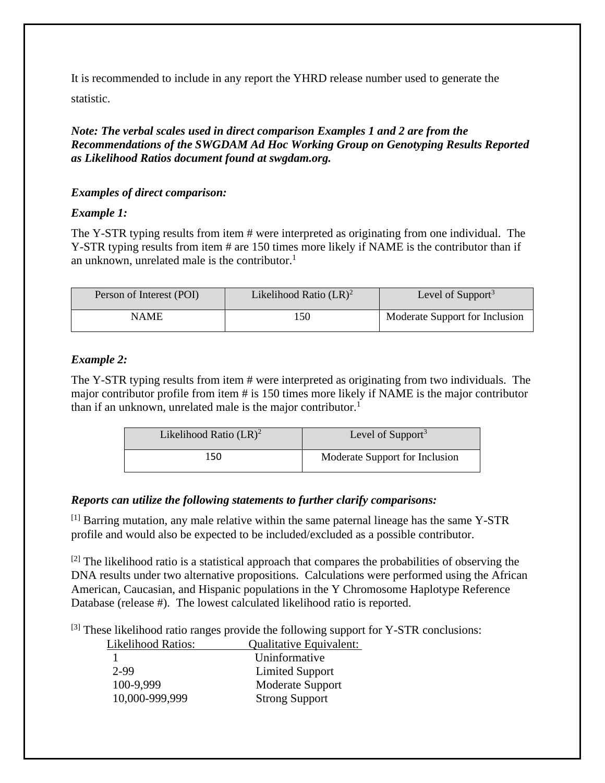It is recommended to include in any report the YHRD release number used to generate the statistic.

*Note: The verbal scales used in direct comparison Examples 1 and 2 are from the Recommendations of the SWGDAM Ad Hoc Working Group on Genotyping Results Reported as Likelihood Ratios document found at swgdam.org.*

# *Examples of direct comparison:*

# *Example 1:*

The Y-STR typing results from item # were interpreted as originating from one individual. The Y-STR typing results from item # are 150 times more likely if NAME is the contributor than if an unknown, unrelated male is the contributor. 1

| Person of Interest (POI) | Likelihood Ratio $(LR)^2$ | Level of Support <sup>3</sup>  |
|--------------------------|---------------------------|--------------------------------|
| NAME                     | 50                        | Moderate Support for Inclusion |

# *Example 2:*

The Y-STR typing results from item # were interpreted as originating from two individuals. The major contributor profile from item # is 150 times more likely if NAME is the major contributor than if an unknown, unrelated male is the major contributor.<sup>1</sup>

| Likelihood Ratio $(LR)^2$ | Level of Support <sup>3</sup>  |
|---------------------------|--------------------------------|
| 150                       | Moderate Support for Inclusion |

# *Reports can utilize the following statements to further clarify comparisons:*

 $<sup>[1]</sup>$  Barring mutation, any male relative within the same paternal lineage has the same Y-STR</sup> profile and would also be expected to be included/excluded as a possible contributor.

 $^{[2]}$  The likelihood ratio is a statistical approach that compares the probabilities of observing the DNA results under two alternative propositions. Calculations were performed using the African American, Caucasian, and Hispanic populations in the Y Chromosome Haplotype Reference Database (release #). The lowest calculated likelihood ratio is reported.

 $[3]$  These likelihood ratio ranges provide the following support for Y-STR conclusions:

| <b>Likelihood Ratios:</b> | Qualitative Equivalent: |
|---------------------------|-------------------------|
|                           | Uninformative           |
| 2.99                      | <b>Limited Support</b>  |
| 100-9,999                 | Moderate Support        |
| 10,000-999,999            | <b>Strong Support</b>   |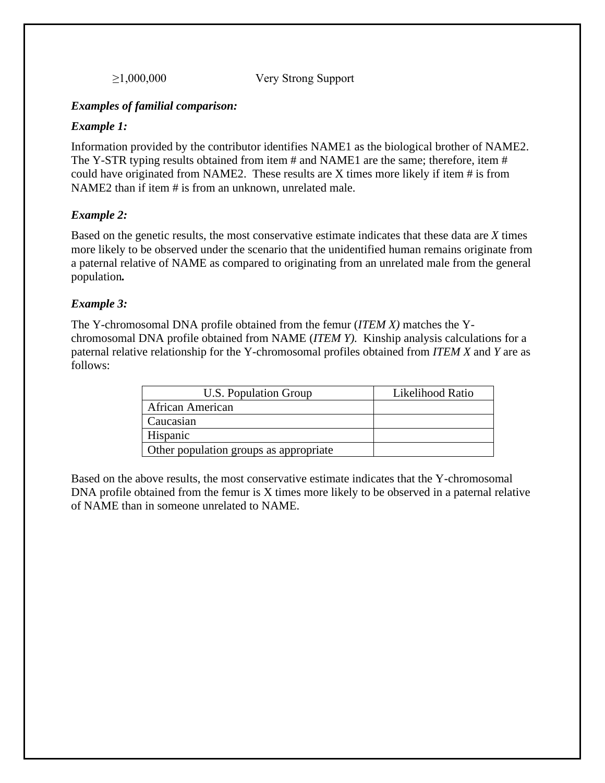≥1,000,000 Very Strong Support

## *Examples of familial comparison:*

## *Example 1:*

Information provided by the contributor identifies NAME1 as the biological brother of NAME2. The Y-STR typing results obtained from item # and NAME1 are the same; therefore, item # could have originated from NAME2. These results are X times more likely if item # is from NAME2 than if item # is from an unknown, unrelated male.

## *Example 2:*

Based on the genetic results, the most conservative estimate indicates that these data are *X* times more likely to be observed under the scenario that the unidentified human remains originate from a paternal relative of NAME as compared to originating from an unrelated male from the general population*.*

## *Example 3:*

The Y-chromosomal DNA profile obtained from the femur (*ITEM X)* matches the Ychromosomal DNA profile obtained from NAME (*ITEM Y).* Kinship analysis calculations for a paternal relative relationship for the Y-chromosomal profiles obtained from *ITEM X* and *Y* are as follows:

| U.S. Population Group                  | Likelihood Ratio |
|----------------------------------------|------------------|
| African American                       |                  |
| Caucasian                              |                  |
| Hispanic                               |                  |
| Other population groups as appropriate |                  |

Based on the above results, the most conservative estimate indicates that the Y-chromosomal DNA profile obtained from the femur is X times more likely to be observed in a paternal relative of NAME than in someone unrelated to NAME.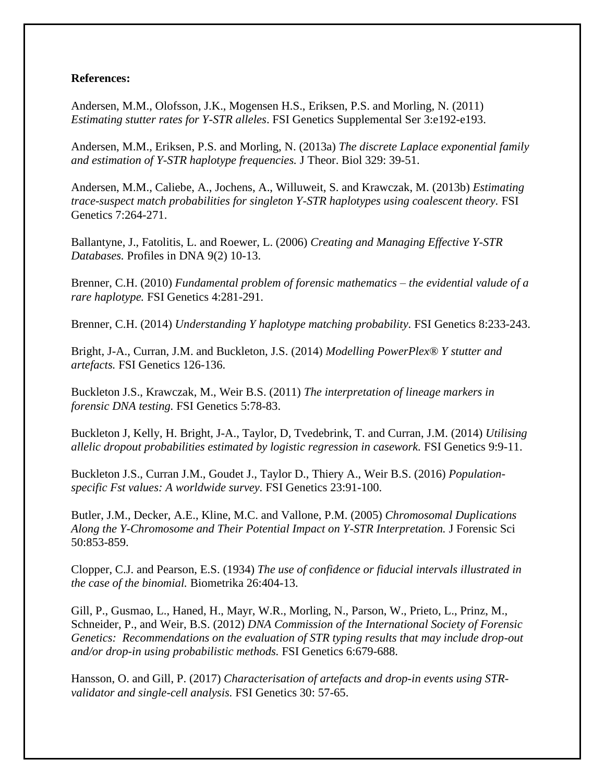## **References:**

Andersen, M.M., Olofsson, J.K., Mogensen H.S., Eriksen, P.S. and Morling, N. (2011) *Estimating stutter rates for Y-STR alleles*. FSI Genetics Supplemental Ser 3:e192-e193.

Andersen, M.M., Eriksen, P.S. and Morling, N. (2013a) *The discrete Laplace exponential family and estimation of Y-STR haplotype frequencies.* J Theor. Biol 329: 39-51.

Andersen, M.M., Caliebe, A., Jochens, A., Willuweit, S. and Krawczak, M. (2013b) *Estimating trace-suspect match probabilities for singleton Y-STR haplotypes using coalescent theory.* FSI Genetics 7:264-271.

Ballantyne, J., Fatolitis, L. and Roewer, L. (2006) *Creating and Managing Effective Y-STR Databases.* Profiles in DNA 9(2) 10-13.

Brenner, C.H. (2010) *Fundamental problem of forensic mathematics – the evidential valude of a rare haplotype.* FSI Genetics 4:281-291.

Brenner, C.H. (2014) *Understanding Y haplotype matching probability.* FSI Genetics 8:233-243.

Bright, J-A., Curran, J.M. and Buckleton, J.S. (2014) *Modelling PowerPlex® Y stutter and artefacts.* FSI Genetics 126-136.

Buckleton J.S., Krawczak, M., Weir B.S. (2011) *The interpretation of lineage markers in forensic DNA testing.* FSI Genetics 5:78-83.

Buckleton J, Kelly, H. Bright, J-A., Taylor, D, Tvedebrink, T. and Curran, J.M. (2014) *Utilising allelic dropout probabilities estimated by logistic regression in casework.* FSI Genetics 9:9-11.

Buckleton J.S., Curran J.M., Goudet J., Taylor D., Thiery A., Weir B.S. (2016) *Populationspecific Fst values: A worldwide survey.* FSI Genetics 23:91-100.

Butler, J.M., Decker, A.E., Kline, M.C. and Vallone, P.M. (2005) *Chromosomal Duplications Along the Y-Chromosome and Their Potential Impact on Y-STR Interpretation.* J Forensic Sci 50:853-859.

Clopper, C.J. and Pearson, E.S. (1934) *The use of confidence or fiducial intervals illustrated in the case of the binomial.* Biometrika 26:404-13.

Gill, P., Gusmao, L., Haned, H., Mayr, W.R., Morling, N., Parson, W., Prieto, L., Prinz, M., Schneider, P., and Weir, B.S. (2012) *DNA Commission of the International Society of Forensic Genetics: Recommendations on the evaluation of STR typing results that may include drop-out and/or drop-in using probabilistic methods.* FSI Genetics 6:679-688.

Hansson, O. and Gill, P. (2017) *Characterisation of artefacts and drop-in events using STRvalidator and single-cell analysis.* FSI Genetics 30: 57-65.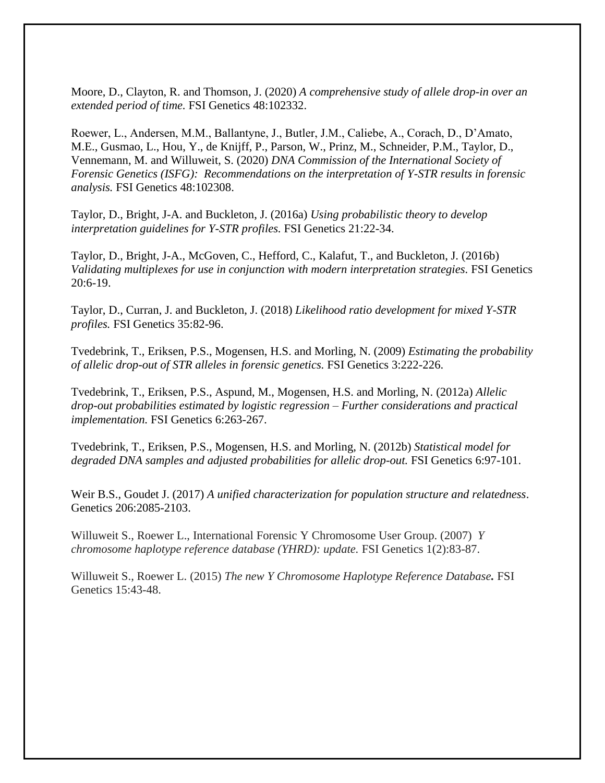Moore, D., Clayton, R. and Thomson, J. (2020) *A comprehensive study of allele drop-in over an extended period of time.* FSI Genetics 48:102332.

Roewer, L., Andersen, M.M., Ballantyne, J., Butler, J.M., Caliebe, A., Corach, D., D'Amato, M.E., Gusmao, L., Hou, Y., de Knijff, P., Parson, W., Prinz, M., Schneider, P.M., Taylor, D., Vennemann, M. and Willuweit, S. (2020) *DNA Commission of the International Society of Forensic Genetics (ISFG): Recommendations on the interpretation of Y-STR results in forensic analysis.* FSI Genetics 48:102308.

Taylor, D., Bright, J-A. and Buckleton, J. (2016a) *Using probabilistic theory to develop interpretation guidelines for Y-STR profiles.* FSI Genetics 21:22-34.

Taylor, D., Bright, J-A., McGoven, C., Hefford, C., Kalafut, T., and Buckleton, J. (2016b) *Validating multiplexes for use in conjunction with modern interpretation strategies.* FSI Genetics 20:6-19.

Taylor, D., Curran, J. and Buckleton, J. (2018) *Likelihood ratio development for mixed Y-STR profiles.* FSI Genetics 35:82-96.

Tvedebrink, T., Eriksen, P.S., Mogensen, H.S. and Morling, N. (2009) *Estimating the probability of allelic drop-out of STR alleles in forensic genetics.* FSI Genetics 3:222-226.

Tvedebrink, T., Eriksen, P.S., Aspund, M., Mogensen, H.S. and Morling, N. (2012a) *Allelic drop-out probabilities estimated by logistic regression – Further considerations and practical implementation.* FSI Genetics 6:263-267.

Tvedebrink, T., Eriksen, P.S., Mogensen, H.S. and Morling, N. (2012b) *Statistical model for degraded DNA samples and adjusted probabilities for allelic drop-out.* FSI Genetics 6:97-101.

Weir B.S., Goudet J. (2017) *A unified characterization for population structure and relatedness*. Genetics 206:2085-2103.

Willuweit S., Roewer L., International Forensic Y Chromosome User Group. (2007) *Y chromosome haplotype reference database (YHRD): update.* FSI Genetics 1(2):83-87.

Willuweit S., Roewer L. (2015) *The new Y Chromosome Haplotype Reference Database.* FSI Genetics 15:43-48.